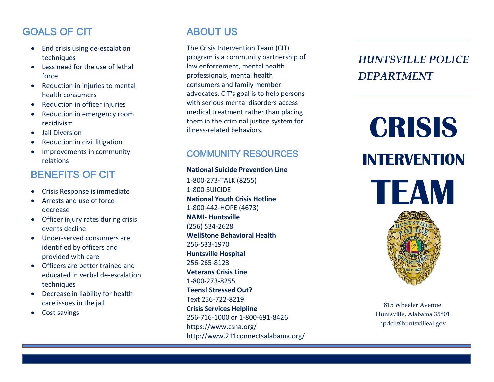# GOALS OF CIT

- End crisis using de-escalation techniques
- Less need for the use of lethal force
- Reduction in injuries to mental health consumers
- Reduction in officer injuries
- Reduction in emergency room recidivism
- Jail Diversion
- Reduction in civil litigation
- Improvements in community relations

# BENEFITS OF CIT

- Crisis Response is immediate
- Arrests and use of force decrease
- Officer injury rates during crisis events decline
- Under -served consumers are identified by officers and provided with care
- Officers are better trained and educated in verbal de -escalation techniques
- Decrease in liability for health care issues in the jail
- Cost savings

# ABOUT US

The Crisis Intervention Team (CIT) program is a community partnership of law enforcement, mental health professionals, mental health consumers and family member advocates. CIT's goal is to help persons with serious mental disorders access medical treatment rather than placing them in the criminal justice system for illness -related behaviors.

## COMMUNITY RESOURCES

### **National Suicide Prevention Line**

1-800-273-TALK (8255) 1-800-SUICIDE **National Youth Crisis Hotline** 1-800-442-HOPE (4673) **NAMI - Huntsville** (256) 534 -2628 **WellStone Behavioral Health** 256 -533 -1970 **Huntsville Hospital** 256 -265 -8123 **Veterans Crisis Line** 1-800-273-8255 **Teens! Stressed Out?** Text 256 -722 -8219 **Crisis Services Helpline**  256 -716 -1000 or 1 -800 -691 -8426 https://www.csna.org/ http://www.211connectsalabama.org/

# *HUNTSVILLE POLICE DEPARTMENT*

# **CRISIS INTERVENTION TEAM**



815 Wheeler Avenue Huntsville, Alabama 35801 [hpdcit@huntsvilleal.gov](mailto:hpdcit@huntsvilleal.gov)